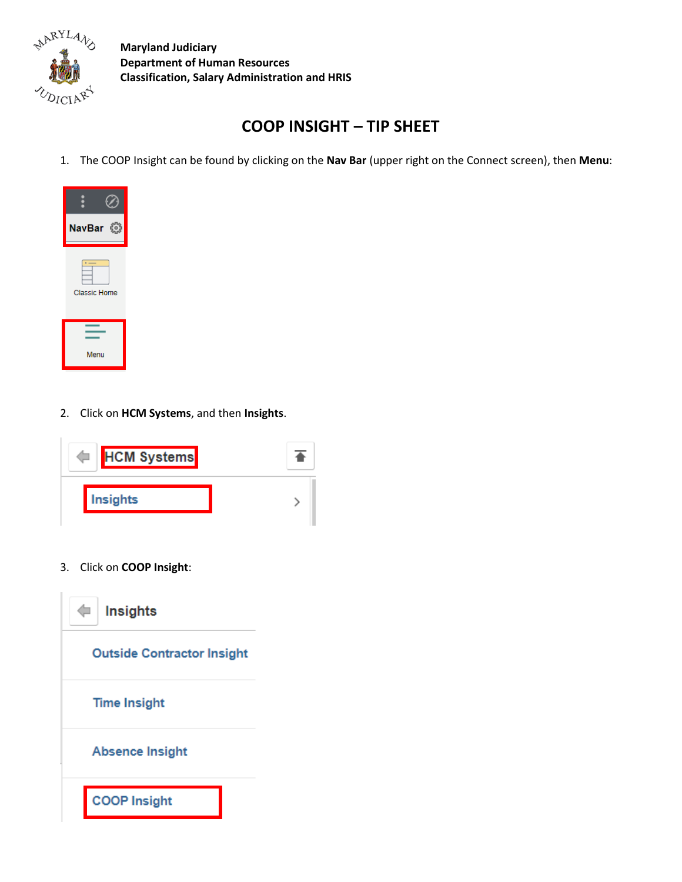

## **COOP INSIGHT – TIP SHEET**

1. The COOP Insight can be found by clicking on the **Nav Bar** (upper right on the Connect screen), then **Menu**:



2. Click on **HCM Systems**, and then **Insights**.



3. Click on **COOP Insight**:

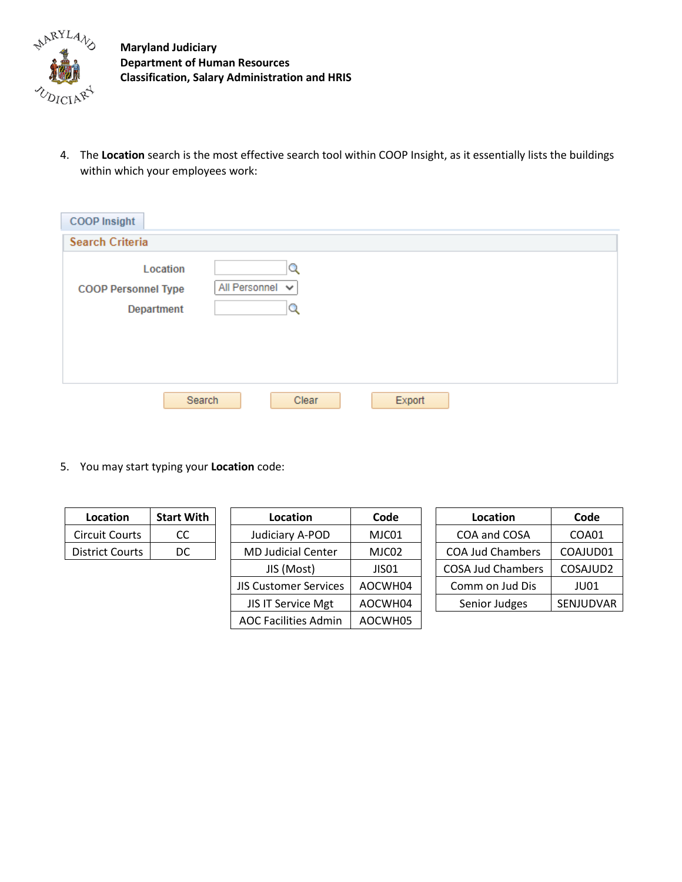

4. The **Location** search is the most effective search tool within COOP Insight, as it essentially lists the buildings within which your employees work:

| <b>COOP Insight</b>                                                               |
|-----------------------------------------------------------------------------------|
| <b>Search Criteria</b>                                                            |
| Location<br>Q<br>All Personnel v<br><b>COOP Personnel Type</b><br>Department<br>Q |
| Export<br>Search<br>Clear                                                         |

5. You may start typing your **Location** code:

| Location               | <b>Start With</b> | Location                     | Code    | Location                 | Code      |
|------------------------|-------------------|------------------------------|---------|--------------------------|-----------|
| <b>Circuit Courts</b>  | CC.               | Judiciary A-POD              | MJC01   | COA and COSA             | COA01     |
| <b>District Courts</b> | DC.               | <b>MD Judicial Center</b>    | MJC02   | <b>COA Jud Chambers</b>  | COAJUD01  |
|                        |                   | JIS (Most)                   | JISO1   | <b>COSA Jud Chambers</b> | COSAJUD2  |
|                        |                   | <b>JIS Customer Services</b> | AOCWH04 | Comm on Jud Dis          | JU01      |
|                        |                   | <b>JIS IT Service Mgt</b>    | AOCWH04 | Senior Judges            | SENJUDVAR |
|                        |                   | <b>AOC Facilities Admin</b>  | AOCWH05 |                          |           |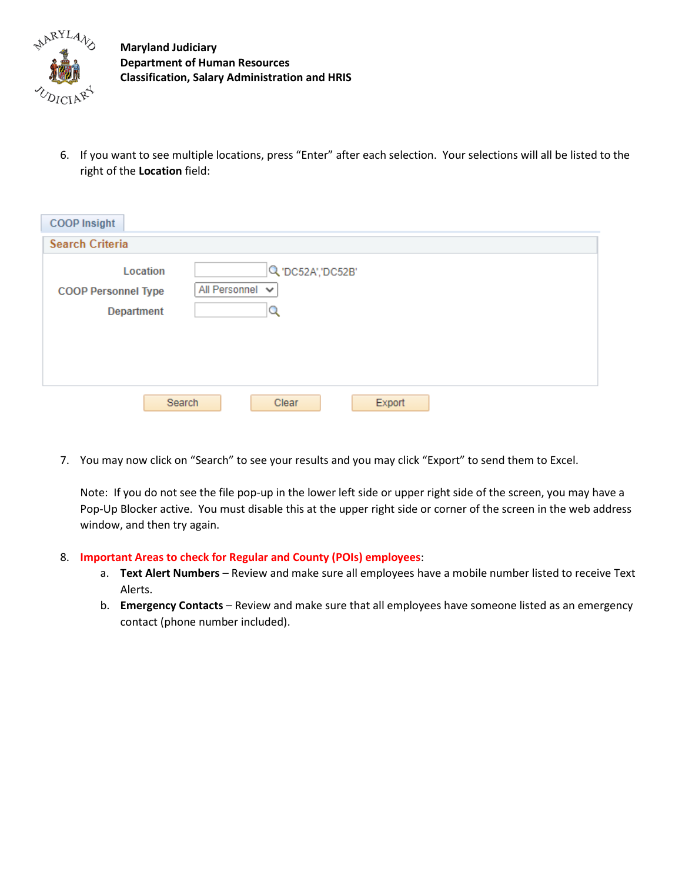

6. If you want to see multiple locations, press "Enter" after each selection. Your selections will all be listed to the right of the **Location** field:

| <b>COOP</b> Insight                                  |                                            |
|------------------------------------------------------|--------------------------------------------|
| <b>Search Criteria</b>                               |                                            |
| Location<br><b>COOP Personnel Type</b><br>Department | Q 'DC52A', 'DC52B'<br>All Personnel v<br>Q |
|                                                      | Search<br>Export<br>Clear                  |

7. You may now click on "Search" to see your results and you may click "Export" to send them to Excel.

Note: If you do not see the file pop-up in the lower left side or upper right side of the screen, you may have a Pop-Up Blocker active. You must disable this at the upper right side or corner of the screen in the web address window, and then try again.

- 8. **Important Areas to check for Regular and County (POIs) employees**:
	- a. **Text Alert Numbers** Review and make sure all employees have a mobile number listed to receive Text Alerts.
	- b. **Emergency Contacts** Review and make sure that all employees have someone listed as an emergency contact (phone number included).